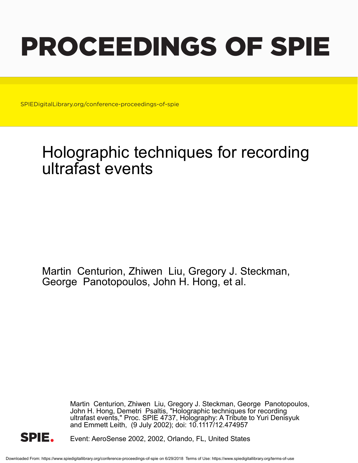# PROCEEDINGS OF SPIE

SPIEDigitalLibrary.org/conference-proceedings-of-spie

## Holographic techniques for recording ultrafast events

Martin Centurion, Zhiwen Liu, Gregory J. Steckman, George Panotopoulos, John H. Hong, et al.

> Martin Centurion, Zhiwen Liu, Gregory J. Steckman, George Panotopoulos, John H. Hong, Demetri Psaltis, "Holographic techniques for recording ultrafast events," Proc. SPIE 4737, Holography: A Tribute to Yuri Denisyuk and Emmett Leith, (9 July 2002); doi: 10.1117/12.474957



Event: AeroSense 2002, 2002, Orlando, FL, United States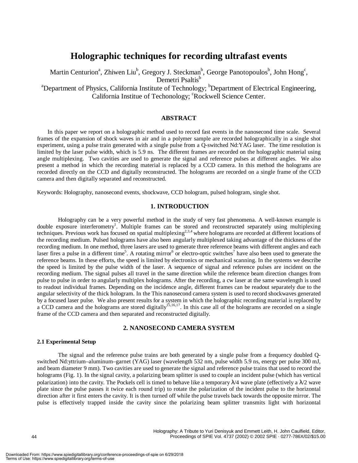### **Holographic techniques for recording ultrafast events**

Martin Centurion<sup>a</sup>, Zhiwen Liu<sup>b</sup>, Gregory J. Steckman<sup>b</sup>, George Panotopoulos<sup>b</sup>, John Hong<sup>c</sup>, Demetri Psaltis<sup>b</sup> <sup>a</sup>Department of Physics, California Institute of Technology; <sup>b</sup>Department of Electrical Engineering, California Institue of Techonology; 'Rockwell Science Center.

#### **ABSTRACT**

In this paper we report on a holographic method used to record fast events in the nanosecond time scale. Several frames of the expansion of shock waves in air and in a polymer sample are recorded holographically in a single shot experiment, using a pulse train generated with a single pulse from a Q-switched Nd:YAG laser. The time resolution is limited by the laser pulse width, which is 5.9 ns. The different frames are recorded on the holographic material using angle multiplexing. Two cavities are used to generate the signal and reference pulses at different angles. We also present a method in which the recording material is replaced by a CCD camera. In this method the holograms are recorded directly on the CCD and digitally reconstructed. The holograms are recorded on a single frame of the CCD camera and then digitally separated and reconstructed.

Keywords: Holography, nanosecond events, shockwave, CCD hologram, pulsed hologram, single shot.

#### **1. INTRODUCTION**

Holography can be a very powerful method in the study of very fast phenomena. A well-known example is double exposure interferometry<sup>1</sup>. Multiple frames can be stored and reconstructed separately using multiplexing techniques. Previous work has focused on spatial multiplexing<sup>2,3,4</sup> where holograms are recorded at different locations of the recording medium. Pulsed holograms have also been angularly multiplexed taking advantage of the thickness of the recording medium. In one method, three lasers are used to generate three reference beams with different angles and each laser fires a pulse in a different time<sup>5</sup>. A rotating mirror<sup>6</sup> or electro-optic switches<sup>7</sup> have also been used to generate the reference beams. In these efforts, the speed is limited by electronics or mechanical scanning. In the systems we describe the speed is limited by the pulse width of the laser. A sequence of signal and reference pulses are incident on the recording medium. The signal pulses all travel in the same direction while the reference beam direction changes from pulse to pulse in order to angularly multiplex holograms. After the recording, a cw laser at the same wavelength is used to readout individual frames. Depending on the incidence angle, different frames can be readout separately due to the angular selectivity of the thick hologram. In the This nanosecond camera system is used to record shockwaves generated by a focused laser pulse. We also present results for a system in which the holographic recording material is replaced by a CCD camera and the holograms are stored digitally<sup>15,16,17</sup>. In this case all of the holograms are recorded on a single frame of the CCD camera and then separated and reconstructed digitally.

#### **2. NANOSECOND CAMERA SYSTEM**

#### **2.1 Experimental Setup**

The signal and the reference pulse trains are both generated by a single pulse from a frequency doubled Qswitched Nd:yttrium–aluminum–garnet (YAG) laser (wavelength 532 nm, pulse width 5.9 ns, energy per pulse 300 mJ, and beam diameter 9 mm). Two cavities are used to generate the signal and reference pulse trains that used to record the holograms (Fig. 1). In the signal cavity, a polarizing beam splitter is used to couple an incident pulse (which has vertical polarization) into the cavity. The Pockels cell is timed to behave like a temporary  $\lambda/4$  wave plate (effectively a  $\lambda/2$  wave plate since the pulse passes it twice each round trip) to rotate the polarization of the incident pulse to the horizontal direction after it first enters the cavity. It is then turned off while the pulse travels back towards the opposite mirror. The pulse is effectively trapped inside the cavity since the polarizing beam splitter transmits light with horizontal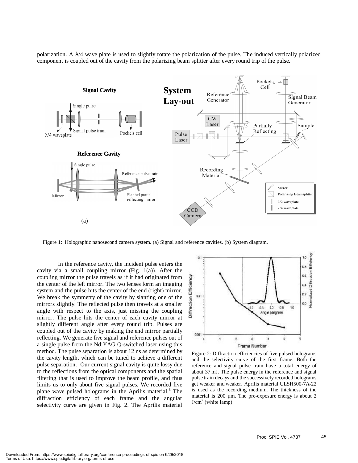polarization. A  $\lambda$ /4 wave plate is used to slightly rotate the polarization of the pulse. The induced vertically polarized component is coupled out of the cavity from the polarizing beam splitter after every round trip of the pulse.



Figure 1: Holographic nanosecond camera system. (a) Signal and reference cavities. (b) System diagram.

In the reference cavity, the incident pulse enters the cavity via a small coupling mirror (Fig. 1(a)). After the coupling mirror the pulse travels as if it had originated from the center of the left mirror. The two lenses form an imaging system and the pulse hits the center of the end (right) mirror. We break the symmetry of the cavity by slanting one of the mirrors slightly. The reflected pulse then travels at a smaller angle with respect to the axis, just missing the coupling mirror. The pulse hits the center of each cavity mirror at slightly different angle after every round trip. Pulses are coupled out of the cavity by making the end mirror partially reflecting. We generate five signal and reference pulses out of a single pulse from the Nd:YAG Q-switched laser using this method. The pulse separation is about 12 ns as determined by the cavity length, which can be tuned to achieve a different pulse separation. Our current signal cavity is quite lossy due to the reflections from the optical components and the spatial filtering that is used to improve the beam profile, and thus limits us to only about five signal pulses. We recorded five plane wave pulsed holograms in the Aprilis material.<sup>8</sup> The diffraction efficiency of each frame and the angular selectivity curve are given in Fig. 2. The Aprilis material



Figure 2: Diffraction efficiencies of five pulsed holograms and the selectivity curve of the first frame. Both the reference and signal pulse train have a total energy of about 37 mJ. The pulse energy in the reference and signal pulse train decays and the successively recorded holograms get weaker and weaker. Aprilis material ULSH500-7A-22 is used as the recording medium. The thickness of the material is 200 µm. The pre-exposure energy is about 2  $J/cm<sup>2</sup>$  (white lamp).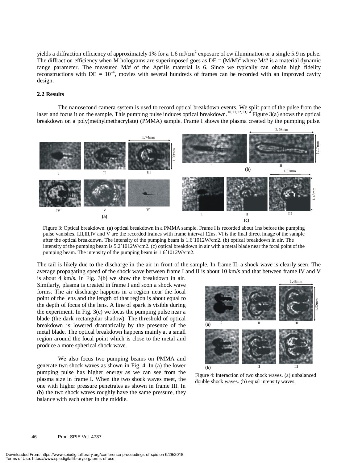yields a diffraction efficiency of approximately 1% for a 1.6 mJ/cm<sup>2</sup> exposure of cw illumination or a single 5.9 ns pulse. The diffraction efficiency when M holograms are superimposed goes as  $DE = (M/M)^2$  where  $M/\#$  is a material dynamic range parameter. The measured M/# of the Aprilis material is 6. Since we typically can obtain high fidelity reconstructions with  $DE = 10^{-4}$ , movies with several hundreds of frames can be recorded with an improved cavity design.

#### **2.2 Results**

The nanosecond camera system is used to record optical breakdown events. We split part of the pulse from the laser and focus it on the sample. This pumping pulse induces optical breakdown.<sup>10,11,12,13,14</sup> Figure 3(a) shows the optical breakdown on a poly(methylmethacrylate) (PMMA) sample. Frame I shows the plasma created by the pumping pulse.



Figure 3: Optical breakdown. (a) optical breakdown in a PMMA sample. Frame I is recorded about 1ns before the pumping pulse vanishes. I,II,III,IV and V are the recorded frames with frame interval 12ns. VI is the final direct image of the sample after the optical breakdown. The intensity of the pumping beam is 1.6´1012W/cm2. (b) optical breakdown in air. The intensity of the pumping beam is 5.2´1012W/cm2. (c) optical breakdown in air with a metal blade near the focal point of the pumping beam. The intensity of the pumping beam is 1.6´1012W/cm2.

The tail is likely due to the discharge in the air in front of the sample. In frame II, a shock wave is clearly seen. The average propagating speed of the shock wave between frame I and II is about 10 km/s and that between frame IV and V

is about 4 km/s. In Fig. 3(b) we show the breakdown in air. Similarly, plasma is created in frame I and soon a shock wave forms. The air discharge happens in a region near the focal point of the lens and the length of that region is about equal to the depth of focus of the lens. A line of spark is visible during the experiment. In Fig. 3(c) we focus the pumping pulse near a blade (the dark rectangular shadow). The threshold of optical breakdown is lowered dramatically by the presence of the metal blade. The optical breakdown happens mainly at a small region around the focal point which is close to the metal and produce a more spherical shock wave.

We also focus two pumping beams on PMMA and generate two shock waves as shown in Fig. 4. In (a) the lower pumping pulse has higher energy as we can see from the plasma size in frame I. When the two shock waves meet, the one with higher pressure penetrates as shown in frame III. In (b) the two shock waves roughly have the same pressure, they balance with each other in the middle.



Figure 4: Interaction of two shock waves. (a) unbalanced double shock waves. (b) equal intensity waves.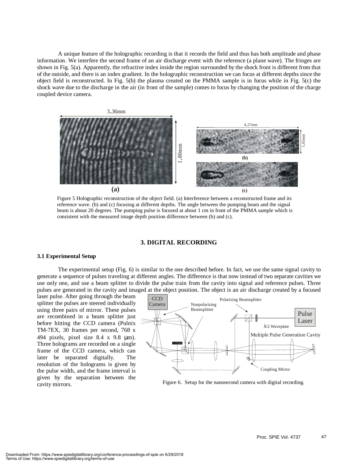A unique feature of the holographic recording is that it records the field and thus has both amplitude and phase information. We interfere the second frame of an air discharge event with the reference (a plane wave). The fringes are shown in Fig. 5(a). Apparently, the refractive index inside the region surrounded by the shock front is different from that of the outside, and there is an index gradient. In the holographic reconstruction we can focus at different depths since the object field is reconstructed. In Fig. 5(b) the plasma created on the PMMA sample is in focus while in Fig. 5(c) the shock wave due to the discharge in the air (in front of the sample) comes to focus by changing the position of the charge coupled device camera.



Figure 5 Holographic reconstruction of the object field. (a) Interference between a reconstructed frame and its reference wave. (b) and (c) focusing at different depths. The angle between the pumping beam and the signal beam is about 20 degrees. The pumping pulse is focused at about 1 cm in front of the PMMA sample which is consistent with the measured image depth position difference between (b) and (c).

#### **3. DIGITAL RECORDING**

#### **3.1 Experimental Setup**

The experimental setup (Fig. 6) is similar to the one described before. In fact, we use the same signal cavity to generate a sequence of pulses traveling at different angles. The difference is that now instead of two separate cavities we use only one, and use a beam splitter to divide the pulse train from the cavity into signal and reference pulses. Three pulses are generated in the cavity and imaged at the object position. The object is an air discharge created by a focused

laser pulse. After going through the beam splitter the pulses are steered individually using three pairs of mirror. These pulses are recombined in a beam splitter just before hitting the CCD camera (Pulnix TM-7EX, 30 frames per second, 768 x 494 pixels, pixel size 8.4 x 9.8 µm). Three holograms are recorded on a single frame of the CCD camera, which can later be separated digitally. The resolution of the holograms is given by the pulse width, and the frame interval is given by the separation between the cavity mirrors.



Figure 6. Setup for the nanosecond camera with digital recording.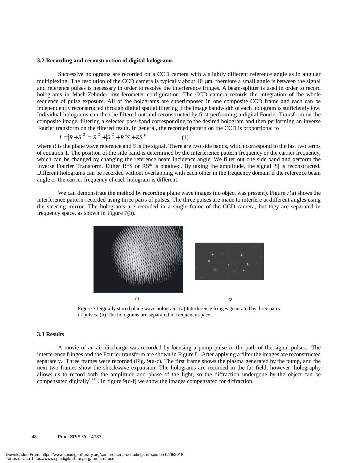#### **3.2 Recording and reconstruction of digital holograms**

Successive holograms are recorded on a CCD camera with a slightly different reference angle as in angular multiplexing. The resolution of the CCD camera is typically about 10  $\mu$ m, therefore a small angle is between the signal and reference pulses is necessary in order to resolve the interference fringes. A beam-splitter is used in order to record holograms in Mach-Zehnder interferometer configuration. The CCD camera records the integration of the whole sequence of pulse exposure. All of the holograms are superimposed in one composite CCD frame and each can be independently reconstructed through digital spatial filtering if the image bandwidth of each hologram is sufficiently low. Individual holograms can then be filtered out and reconstructed by first performing a digital Fourier Transform on the composite image, filtering a selected pass-band corresponding to the desired hologram and then performing an inverse Fourier transform on the filtered result. In general, the recorded pattern on the CCD is proportional to

$$
I = |R + S|^{2} = |R|^{2} + |S|^{2} + R^{*}S + RS^{*}
$$
 (1)

where *R* is the plane wave reference and *S* is the signal. There are two side bands, which correspond to the last two terms of equation 1. The position of the side band is determined by the interference pattern frequency or the carrier frequency, which can be changed by changing the reference beam incidence angle. We filter out one side band and perform the Inverse Fourier Transform. Either  $R*S$  or  $RS^*$  is obtained. By taking the amplitude, the signal  $|S|$  is reconstructed. Different holograms can be recorded without overlapping with each other in the frequency domain if the reference beam angle or the carrier frequency of each hologram is different.

We can demonstrate the method by recording plane wave images (no object was present). Figure 7(a) shows the interference pattern recorded using three pairs of pulses. The three pulses are made to interfere at different angles using the steering mirror. The holograms are recorded in a single frame of the CCD camera, but they are separated in frequency space, as shown in Figure 7(b).



Figure 7 Digitally stored plane wave hologram. (a) Interference fringes generated by three pairs of pulses. (b) The holograms are separated in frequency space.

#### **3.3 Results**

 A movie of an air discharge was recorded by focusing a pump pulse in the path of the signal pulses. The interference fringes and the Fourier transform are shown in Figure 8. After applying a filter the images are reconstructed separately. Three frames were recorded (Fig. 9(a-c). The first frame shows the plasma generated by the pump, and the next two frames show the shockwave expansion. The holograms are recorded in the far field, however, holography allows us to record both the amplitude and phase of the light, so the diffraction undergone by the object can be compensated digitally<sup>18,19</sup>. In figure 9(d-f) we show the images compensated for diffraction.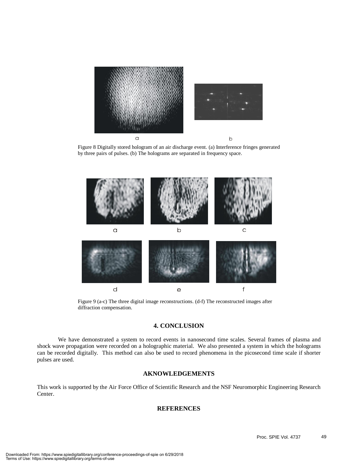

Figure 8 Digitally stored hologram of an air discharge event. (a) Interference fringes generated by three pairs of pulses. (b) The holograms are separated in frequency space.



Figure 9 (a-c) The three digital image reconstructions. (d-f) The reconstructed images after diffraction compensation.

#### **4. CONCLUSION**

 We have demonstrated a system to record events in nanosecond time scales. Several frames of plasma and shock wave propagation were recorded on a holographic material. We also presented a system in which the holograms can be recorded digitally. This method can also be used to record phenomena in the picosecond time scale if shorter pulses are used.

#### **AKNOWLEDGEMENTS**

This work is supported by the Air Force Office of Scientific Research and the NSF Neuromorphic Engineering Research Center.

#### **REFERENCES**